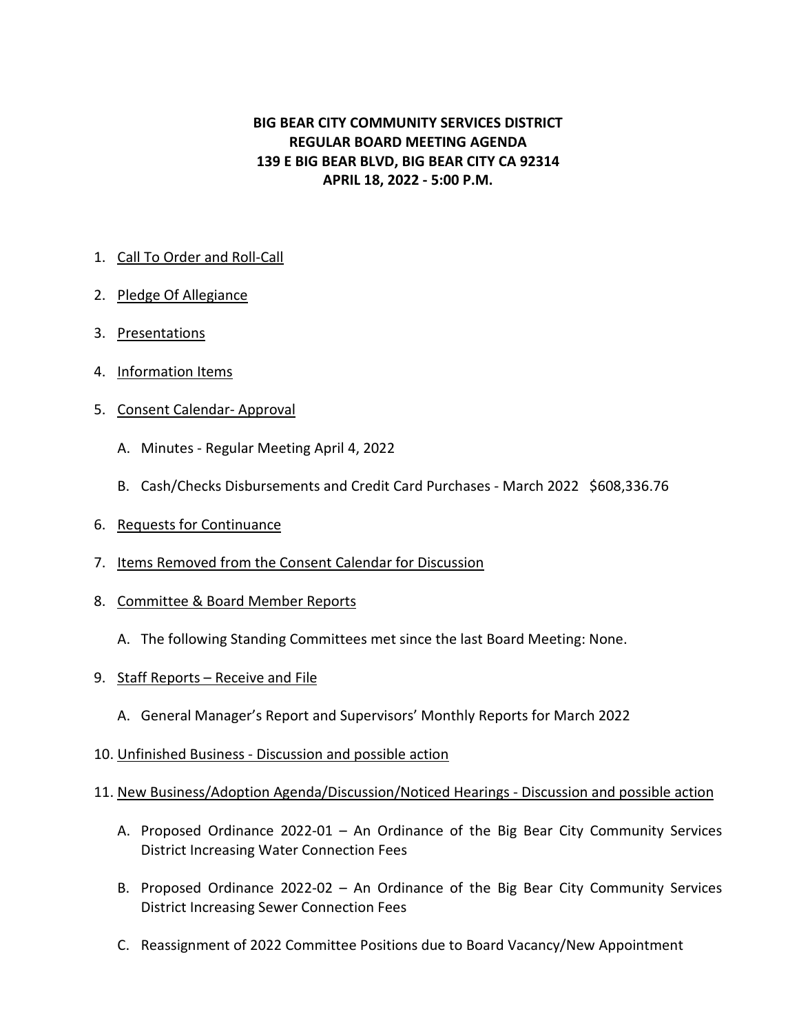# **BIG BEAR CITY COMMUNITY SERVICES DISTRICT REGULAR BOARD MEETING AGENDA 139 E BIG BEAR BLVD, BIG BEAR CITY CA 92314 APRIL 18, 2022 - 5:00 P.M.**

# 1. Call To Order and Roll-Call

- 2. Pledge Of Allegiance
- 3. Presentations
- 4. Information Items
- 5. Consent Calendar- Approval
	- A. Minutes Regular Meeting April 4, 2022
	- B. Cash/Checks Disbursements and Credit Card Purchases March 2022 \$608,336.76
- 6. Requests for Continuance
- 7. Items Removed from the Consent Calendar for Discussion
- 8. Committee & Board Member Reports
	- A. The following Standing Committees met since the last Board Meeting: None.
- 9. Staff Reports Receive and File
	- A. General Manager's Report and Supervisors' Monthly Reports for March 2022
- 10. Unfinished Business Discussion and possible action

## 11. New Business/Adoption Agenda/Discussion/Noticed Hearings - Discussion and possible action

- A. Proposed Ordinance 2022-01 An Ordinance of the Big Bear City Community Services District Increasing Water Connection Fees
- B. Proposed Ordinance 2022-02 An Ordinance of the Big Bear City Community Services District Increasing Sewer Connection Fees
- C. Reassignment of 2022 Committee Positions due to Board Vacancy/New Appointment